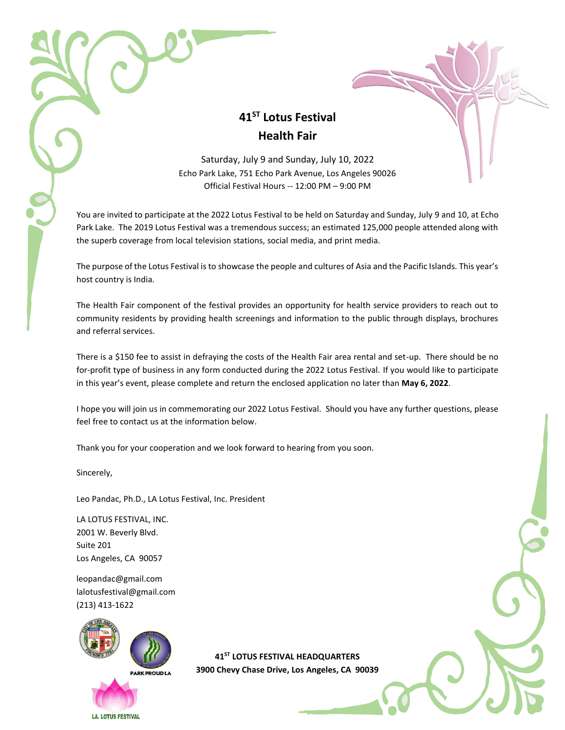## **41ST Lotus Festival Health Fair**

Saturday, July 9 and Sunday, July 10, 2022 Echo Park Lake, 751 Echo Park Avenue, Los Angeles 90026 Official Festival Hours -- 12:00 PM – 9:00 PM

You are invited to participate at the 2022 Lotus Festival to be held on Saturday and Sunday, July 9 and 10, at Echo Park Lake. The 2019 Lotus Festival was a tremendous success; an estimated 125,000 people attended along with the superb coverage from local television stations, social media, and print media.

The purpose of the Lotus Festival is to showcase the people and cultures of Asia and the Pacific Islands. This year's host country is India.

The Health Fair component of the festival provides an opportunity for health service providers to reach out to community residents by providing health screenings and information to the public through displays, brochures and referral services.

There is a \$150 fee to assist in defraying the costs of the Health Fair area rental and set-up. There should be no for-profit type of business in any form conducted during the 2022 Lotus Festival. If you would like to participate in this year's event, please complete and return the enclosed application no later than **May 6, 2022**.

I hope you will join us in commemorating our 2022 Lotus Festival. Should you have any further questions, please feel free to contact us at the information below.

Thank you for your cooperation and we look forward to hearing from you soon.

Sincerely,

Leo Pandac, Ph.D., LA Lotus Festival, Inc. President

LA LOTUS FESTIVAL, INC. 2001 W. Beverly Blvd. Suite 201 Los Angeles, CA 90057

[leopandac@gmail.com](mailto:leopandac@gmail.com) lalotusfestival@gmail.com (213) 413-1622



**41ST LOTUS FESTIVAL HEADQUARTERS 3900 Chevy Chase Drive, Los Angeles, CA 90039**